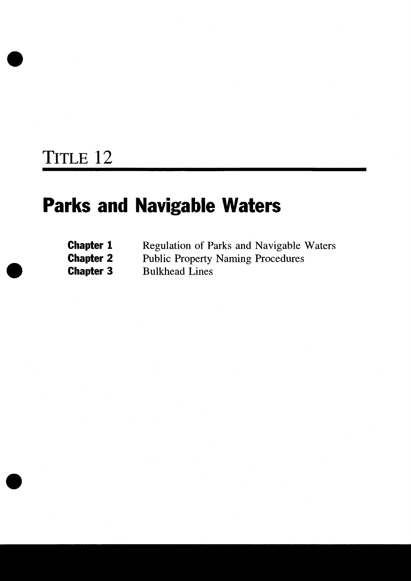### TITLE 12

 $\bullet$ 

### Parks and Navigable Waters

| <b>Chapter 1</b> | Regulation of Parks and Navigable Waters |
|------------------|------------------------------------------|
| <b>Chapter 2</b> | <b>Public Property Naming Procedures</b> |
| <b>Chapter 3</b> | <b>Bulkhead Lines</b>                    |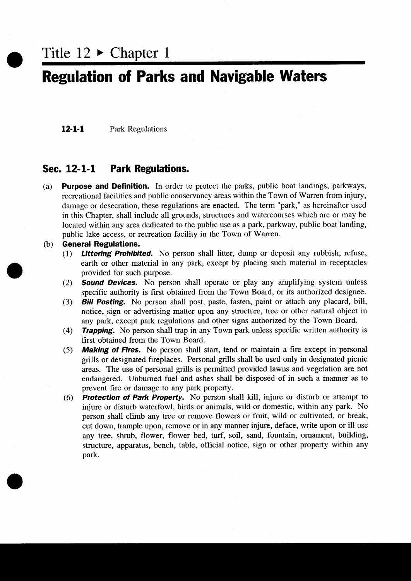Title  $12 \triangleright$  Chapter 1

#### Regulation of Parks and Navigable Waters

12-1-1 Park Regulations

#### Sec. 12-1-1 Park Regulations.

(a) Purpose and Definition. In order to protect the parks, public boat landings, parkways, recreational facilities and public conservancy areas within the Town of Warren from injury damage or desecration, these regulations are enacted. The term "park," as hereinafter used in this Chapter, shall include all grounds, structures and watercourses which are or may be located within any area dedicated to the public use as a park, parkway, public boat landing, public lake access, or recreation facility in the Town of Warren.

### (b) General Regulations.<br>(1) Littering Prohibit

r  $\bullet$ 

- **Littering Prohibited.** No person shall litter, dump or deposit any rubbish, refuse, earth or other material in any park except by placing such material in receptacles provided for such purpose
- (2) **Sound Devices.** No person shall operate or play any amplifying system unless specific authority is first obtained from the Town Board, or its authorized designee.
- (3) Bill Posting. No person shall post, paste, fasten, paint or attach any placard, bill, notice, sign or advertising matter upon any structure, tree or other natural object in any park, except park regulations and other signs authorized by the Town Board.<br>(4) **Trapping.** No person shall trap in any Town park u any park except park regulations and other signs authorized by the Town Board
- first obtained from the Town Board. 5 Trapping. No person shall trap in any Town park unless specific written authority is<br>first obtained from the Town Board.<br>(5) Making of Fires. No person shall start, tend or maintain a fire except in personal
- grills or designated fireplaees Personal grills shall be used onIy in designated picnie areas. The use of personal grills is permitted provided lawns and vegetation are not endangered. Unburned fuel and ashes shall be disposed of in such a manner as to prevent fire or damage to any park property
- $(6)$  **Protection of Park Property.** No person shall kill, injure or disturb or attempt to injure or disturb waterfowl, birds or animals, wild or domestic, within any park. No person shall climb any tree or remove flowers or fruit, wild or cultivated, or break, cut down, trample upon, remove or in any manner injure, deface, write upon or ill use any tree, shrub, flower, flower bed, turf, soil, sand, fountain, ornament, building, structure, apparatus, bench, table, official notice, sign or other property within any park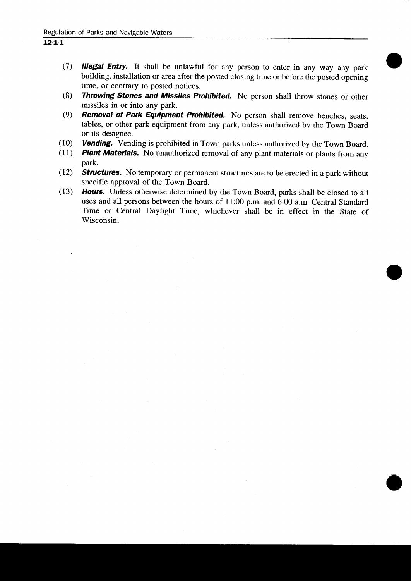- 12-1-1<br>
(7) **Illegal Entry.** It shall be unlawful for any person to enter in any way any park building, installation or area after the posted closing time or before the posted opening time, or contrary to posted notices.
	- $8$  Throwing Stones and Missiles Prohibited. No person shall throw stones or other missiles in or into any park
	- $(9)$ Removal of Park Equipment Prohibited. No person shall remove benches, seats tables, or other park equipment from any park, unless authorized by the Town Board or its designee 11 **Removal of Park Equipment Prohibited.** No person shall remove benches, seats, tables, or other park equipment from any park, unless authorized by the Town Board or its designee.<br>
	11 **Plant Materials.** No unauthorized
	-
	- **IO Vending.** Vending is prohibited in Town parks unless authorized by the Town Board. (11) **Plant Materials.** No unauthorized removal of any plant materials or plants from any park
	- $(12)$  **Structures.** No temporary or permanent structures are to be erected in a park without specific approval of the Town Board
	- (13) Hours. Unless otherwise determined by the Town Board, parks shall be closed to all specific approval of the Town Board.<br> **Hours.** Unless otherwise determined by the Town Board, parks shall be closed to all<br>
	uses and all persons between the hours of 11:00 p.m. and 6:00 a.m. Central Standard<br>
	Time or Centr uses and all persons between the hours of 11:00 p.m. and 6:00 a.m. Central Standard<br>Time or Central Daylight Time, whichever shall be in effect in the State of Wisconsin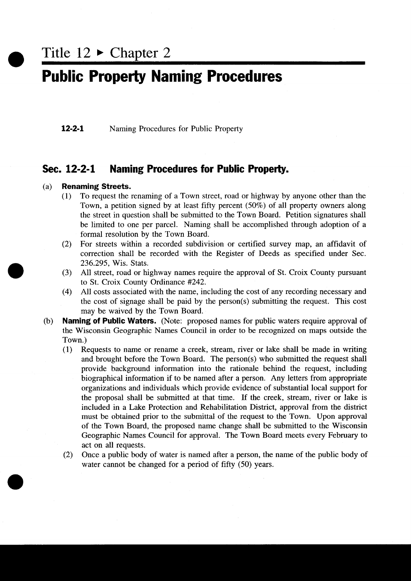Title  $12 \triangleright$  Chapter 2

### **Public Property Naming Procedures**

**12-2-1** Naming Procedures for Public Property

## Sec. 12-2-1 Naming Procedures for Public Property.<br>(a) Renaming Streets.

### **Renaming Streets.**<br>(1) To request the

- To request the renaming of a Town street, road or highway by anyone other than the Town, a petition signed by at least fifty percent  $(50\%)$  of all property owners along the street in question shall be submitted to the Town Board. Petition signatures shall be limited to one per parcel. Naming shall be accomplished through adoption of a formal resolution by the Town Board
- (2) For streets within a recorded subdivision or certified survey map, an affidavit of correction shall be recorded with the Register of Deeds as specified under Sec 236.295, Wis. Stats.
- to St. Croix County Ordinance #242.
- 236.295, Wis. Stats.<br>
(3) All street, road or highway names require the approval of St. Croix County pursuant<br>
to St. Croix County Ordinance #242.<br>
(4) All costs associated with the name, including the cost of any recordin (4) All costs associated with the name, including the cost of any recording necessary and the cost of signage shall be paid by the person(s) submitting the request. This cost may be waived by the Town Board
- (b) Naming of Public Waters. (Note: proposed names for public waters require approval of the Wisconsin Geographic Names Council in order to be recognized on maps outside the Town.)<br>(1)  $R_0$ 
	- 10 Requests to name or rename a creek, stream, river or lake shall be made in writing **ing of Public Waters.** (Note: proposed names for Visconsin Geographic Names Council in order to be (1)).<br>Requests to name or rename a creek, stream, river and brought before the Town Board. The person (s) provide backgrou and brought before the Town Board. The person(s) who submitted the request shall provide background information into the rationale behind the request, including biographical information if to be named after a person. Any letters from appropriate organizations and individuals which provide evidence of substantial iocal support for the proposal shall be submitted at that time. If the creek, stream, river or lake is included in <sup>a</sup> Lake Protection and Rehabilitation District approval from the district must be obtained prior to the submittal of the request to the Town. Upon approval of the Town Board, the proposed name change shall be submitted to the Wisconsin Geographic Names Council for approval. The Town Board meets every February to act on all requests
	- (2) Once a public body of water is named after a person, the name of the public body of water cannot be changed for a period of fifty (50) years.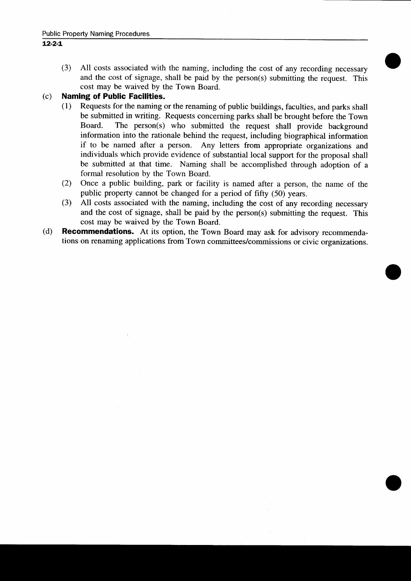(3) All costs associated with the naming, including the cost of any recording necessary and the cost of signage, shall be paid by the person(s) submitting the request. This cost may be waived by the Town Board

### (c) **Naming of Public Facilities.**<br>(1) Requests for the naming of

- 11 Requests for the naming or the renaming of public buildings, faculties, and parks shall be submitted in writing. Requests concerning parks shall be brought before the Town Board. The person(s) who submitted the request shall provide background cost may be waived by the Town Board.<br> **Ing of Public Facilities.**<br>
Requests for the naming or the renaming of public buildings, faculties, and parks shall<br>
be submitted in writing. Requests concerning parks shall be broug information into the rationale behind the request, including biographical information if to be named after a person. Any letters from appropriate organizations and individuals which provide evidence of substantial local support for the proposal shall be submitted at that time. Naming shall be accomplished through adoption of a formal resolution by the Town Board
- (2) Once a public building, park or facility is named after a person, the name of the public property cannot be changed for a period of fifty (50) years.
- 3 All costs associated with the naming, including the cost of any recording necessary and the cost of signage, shall be paid by the person(s) submitting the request. This formal resolution by the Town Board.<br>Once a public building, park or facility is named after a person, the name of the<br>public property cannot be changed for a period of fifty (50) years.<br>All costs associated with the namin cost may be waived by the Town Board
- (d) **Recommendations.** At its option, the Town Board may ask for advisory recommendations on renaming applications from Town committees/commissions or civic organizations.